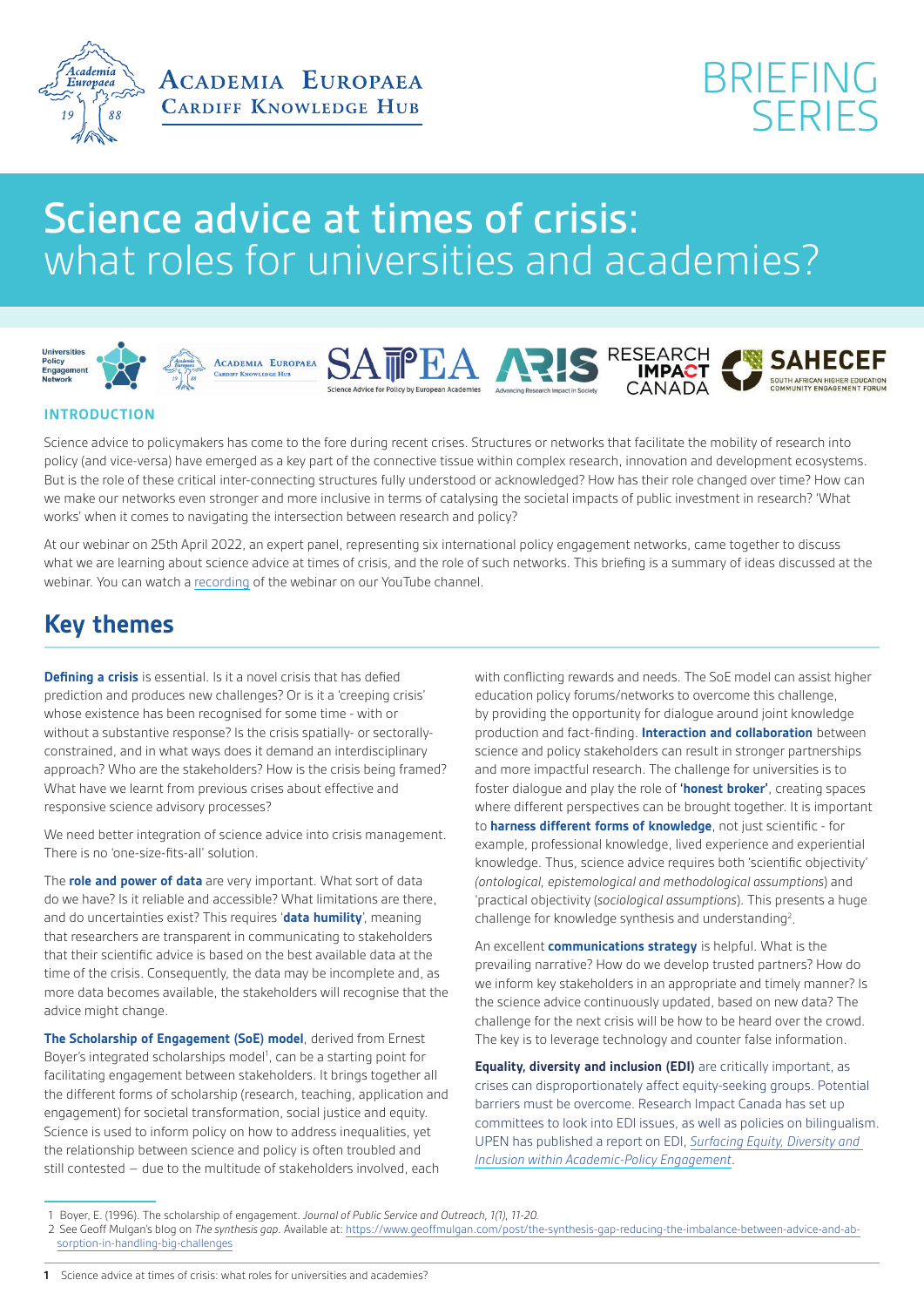



## Science advice at times of crisis: what roles for universities and academies?











## **INTRODUCTION**

Science advice to policymakers has come to the fore during recent crises. Structures or networks that facilitate the mobility of research into policy (and vice-versa) have emerged as a key part of the connective tissue within complex research, innovation and development ecosystems. But is the role of these critical inter-connecting structures fully understood or acknowledged? How has their role changed over time? How can we make our networks even stronger and more inclusive in terms of catalysing the societal impacts of public investment in research? 'What works' when it comes to navigating the intersection between research and policy?

At our webinar on 25th April 2022, an expert panel, representing six international policy engagement networks, came together to discuss what we are learning about science advice at times of crisis, and the role of such networks. This briefing is a summary of ideas discussed at the webinar. You can watch a [recording](https://www.youtube.com/watch?v=QoKJixaQxZU) of the webinar on our YouTube channel.

## **Key themes**

**Defining a crisis** is essential. Is it a novel crisis that has defied prediction and produces new challenges? Or is it a 'creeping crisis' whose existence has been recognised for some time - with or without a substantive response? Is the crisis spatially- or sectorallyconstrained, and in what ways does it demand an interdisciplinary approach? Who are the stakeholders? How is the crisis being framed? What have we learnt from previous crises about effective and responsive science advisory processes?

We need better integration of science advice into crisis management. There is no 'one-size-fits-all' solution.

The **role and power of data** are very important. What sort of data do we have? Is it reliable and accessible? What limitations are there, and do uncertainties exist? This requires '**data humility**', meaning that researchers are transparent in communicating to stakeholders that their scientific advice is based on the best available data at the time of the crisis. Consequently, the data may be incomplete and, as more data becomes available, the stakeholders will recognise that the advice might change.

**The Scholarship of Engagement (SoE) model**, derived from Ernest Boyer's integrated scholarships model<sup>1</sup>, can be a starting point for facilitating engagement between stakeholders. It brings together all the different forms of scholarship (research, teaching, application and engagement) for societal transformation, social justice and equity. Science is used to inform policy on how to address inequalities, yet the relationship between science and policy is often troubled and still contested – due to the multitude of stakeholders involved, each

with conflicting rewards and needs. The SoE model can assist higher education policy forums/networks to overcome this challenge, by providing the opportunity for dialogue around joint knowledge production and fact-finding. **Interaction and collaboration** between science and policy stakeholders can result in stronger partnerships and more impactful research. The challenge for universities is to foster dialogue and play the role of **'honest broker'**, creating spaces where different perspectives can be brought together. It is important to **harness different forms of knowledge**, not just scientific - for example, professional knowledge, lived experience and experiential knowledge. Thus, science advice requires both 'scientific objectivity' *(ontological, epistemological and methodological assumptions*) and 'practical objectivity (*sociological assumptions*). This presents a huge challenge for knowledge synthesis and understanding<sup>2</sup>.

An excellent **communications strategy** is helpful. What is the prevailing narrative? How do we develop trusted partners? How do we inform key stakeholders in an appropriate and timely manner? Is the science advice continuously updated, based on new data? The challenge for the next crisis will be how to be heard over the crowd. The key is to leverage technology and counter false information.

**Equality, diversity and inclusion (EDI)** are critically important, as crises can disproportionately affect equity-seeking groups. Potential barriers must be overcome. Research Impact Canada has set up committees to look into EDI issues, as well as policies on bilingualism. UPEN has published a report on EDI, *[Surfacing Equity, Diversity and](https://www.upen.ac.uk/what_we_offer/reports/Surfacing%20Equity%2C%20Diversity%2C%20and%20Inclusion%20within%20Academic%E2%80%91Policy%20Engagement.pdf)  [Inclusion within Academic-Policy Engagement](https://www.upen.ac.uk/what_we_offer/reports/Surfacing%20Equity%2C%20Diversity%2C%20and%20Inclusion%20within%20Academic%E2%80%91Policy%20Engagement.pdf)*.

<sup>1</sup> Boyer, E. (1996). The scholarship of engagement. *Journal of Public Service and Outreach, 1(1), 11-20.*

<sup>2</sup> See Geoff Mulgan's blog on *The synthesis gap.* Available at: [https://www.geoffmulgan.com/post/the-synthesis-gap-reducing-the-imbalance-between-advice-and-ab](https://www.geoffmulgan.com/post/the-synthesis-gap-reducing-the-imbalance-between-advice-and-absorption-in-handling-big-challenges)[sorption-in-handling-big-challenges](https://www.geoffmulgan.com/post/the-synthesis-gap-reducing-the-imbalance-between-advice-and-absorption-in-handling-big-challenges)

**<sup>1</sup>** Science advice at times of crisis: what roles for universities and academies?